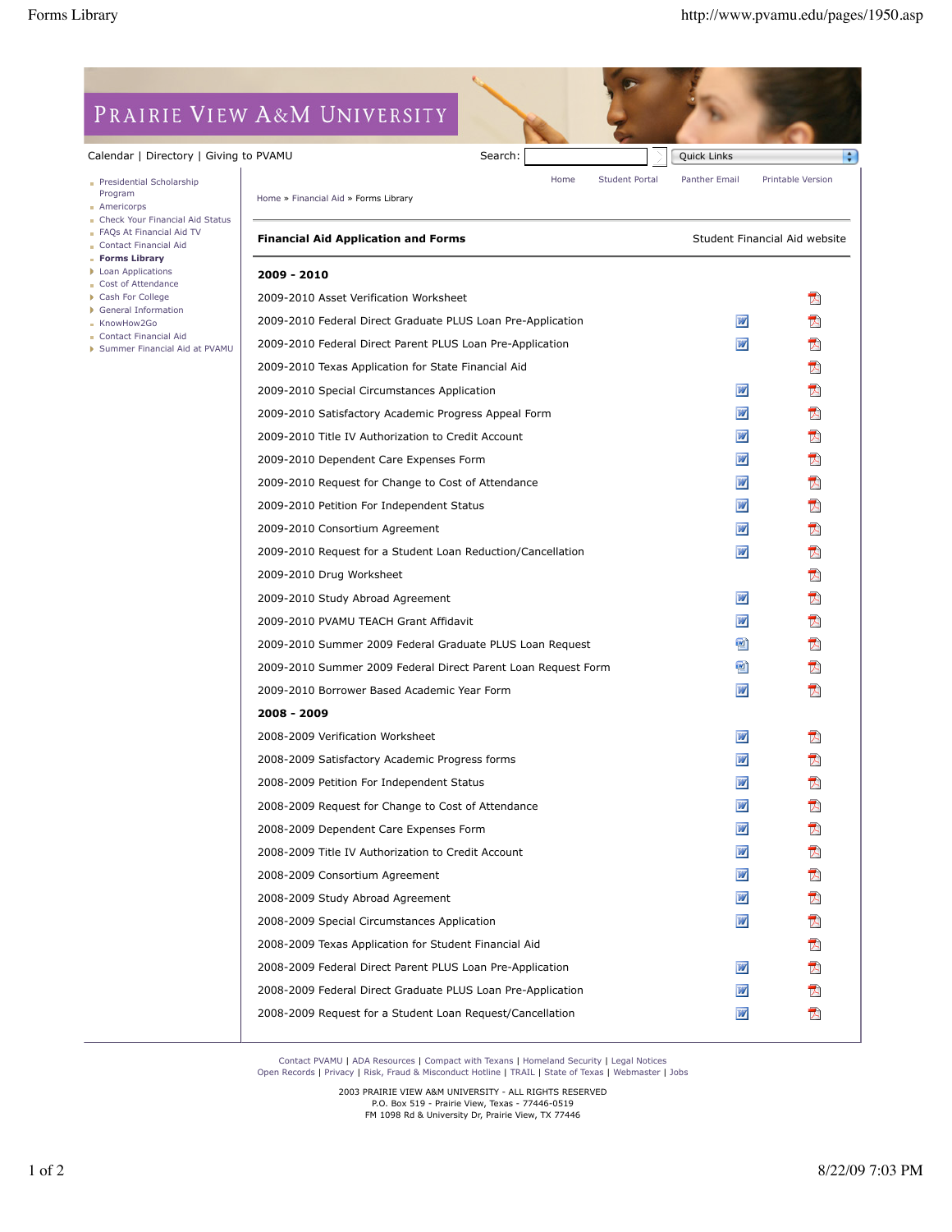## PRAIRIE VIEW A&M UNIVERSITY

## Calendar | Directory | Giving to

- Presidential Scholarship Program
- **Americorps**
- **Check Your Financial Aid Status**
- FAQs At Financial Aid TV Contact Financial Aid
- **Forms Library**
- **Loan Applications**
- Cost of Attendance
- Cash For College
- General Information
- KnowHow2Go
- Contact Financial Aid
- Summer Financial Aid at PVAMU

| ว PVAMU                                                       | Search: |      |                       | Quick Links                   | ÷                 |
|---------------------------------------------------------------|---------|------|-----------------------|-------------------------------|-------------------|
|                                                               |         | Home | <b>Student Portal</b> | Panther Email                 | Printable Version |
| Home » Financial Aid » Forms Library                          |         |      |                       |                               |                   |
| <b>Financial Aid Application and Forms</b>                    |         |      |                       | Student Financial Aid website |                   |
| 2009 - 2010                                                   |         |      |                       |                               |                   |
| 2009-2010 Asset Verification Worksheet                        |         |      |                       |                               | 内                 |
| 2009-2010 Federal Direct Graduate PLUS Loan Pre-Application   |         |      |                       | W                             | A                 |
| 2009-2010 Federal Direct Parent PLUS Loan Pre-Application     |         |      |                       | W                             | T.                |
| 2009-2010 Texas Application for State Financial Aid           |         |      |                       |                               | 人                 |
| 2009-2010 Special Circumstances Application                   |         |      |                       | W                             | 认                 |
| 2009-2010 Satisfactory Academic Progress Appeal Form          |         |      |                       | W                             | 人                 |
| 2009-2010 Title IV Authorization to Credit Account            |         |      |                       | W                             | 人                 |
| 2009-2010 Dependent Care Expenses Form                        |         |      |                       | W                             | 内                 |
| 2009-2010 Request for Change to Cost of Attendance            |         |      |                       | W                             | 人                 |
| 2009-2010 Petition For Independent Status                     |         |      |                       | W                             | 内                 |
| 2009-2010 Consortium Agreement                                |         |      |                       | W                             | 内                 |
| 2009-2010 Request for a Student Loan Reduction/Cancellation   |         |      |                       | W                             | 人                 |
| 2009-2010 Drug Worksheet                                      |         |      |                       |                               | 内                 |
| 2009-2010 Study Abroad Agreement                              |         |      |                       | W                             | 人                 |
| 2009-2010 PVAMU TEACH Grant Affidavit                         |         |      |                       | W                             | 内                 |
| 2009-2010 Summer 2009 Federal Graduate PLUS Loan Request      |         |      |                       | 凹                             | 人                 |
| 2009-2010 Summer 2009 Federal Direct Parent Loan Request Form |         |      |                       | $\mathbb{E}$                  | ᇇ                 |
| 2009-2010 Borrower Based Academic Year Form                   |         |      |                       | w                             | 内                 |
| 2008 - 2009                                                   |         |      |                       |                               |                   |
| 2008-2009 Verification Worksheet                              |         |      |                       | W                             | 内                 |
| 2008-2009 Satisfactory Academic Progress forms                |         |      |                       | w                             | 内                 |
| 2008-2009 Petition For Independent Status                     |         |      |                       | W                             |                   |
| 2008-2009 Request for Change to Cost of Attendance            |         |      |                       |                               |                   |
| 2008-2009 Dependent Care Expenses Form                        |         |      |                       | W                             |                   |
| 2008-2009 Title IV Authorization to Credit Account            |         |      |                       | W                             | 区                 |
| 2008-2009 Consortium Agreement                                |         |      |                       | W                             | 内                 |
| 2008-2009 Study Abroad Agreement                              |         |      |                       | W                             | 内                 |
| 2008-2009 Special Circumstances Application                   |         |      |                       | W                             | 兦                 |
| 2008-2009 Texas Application for Student Financial Aid         |         |      |                       |                               | 因                 |
| 2008-2009 Federal Direct Parent PLUS Loan Pre-Application     |         |      |                       | W                             | 内                 |
| 2008-2009 Federal Direct Graduate PLUS Loan Pre-Application   |         |      |                       | W                             | 人                 |

Contact PVAMU | ADA Resources | Compact with Texans | Homeland Security | Legal Notices Open Records | Privacy | Risk, Fraud & Misconduct Hotline | TRAIL | State of Texas | Webmaster | Jobs

2008-2009 Request for a Student Loan Request/Cancellation

2003 PRAIRIE VIEW A&M UNIVERSITY - ALL RIGHTS RESERVED P.O. Box 519 - Prairie View, Texas - 77446-0519 FM 1098 Rd & University Dr, Prairie View, TX 77446

W

人